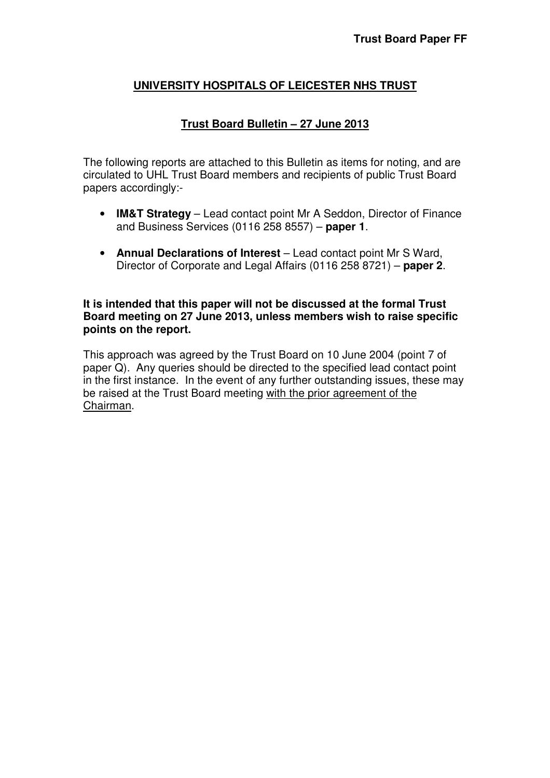## **UNIVERSITY HOSPITALS OF LEICESTER NHS TRUST**

#### **Trust Board Bulletin – 27 June 2013**

The following reports are attached to this Bulletin as items for noting, and are circulated to UHL Trust Board members and recipients of public Trust Board papers accordingly:-

- **IM&T Strategy** Lead contact point Mr A Seddon, Director of Finance and Business Services (0116 258 8557) – **paper 1**.
- **Annual Declarations of Interest** Lead contact point Mr S Ward, Director of Corporate and Legal Affairs (0116 258 8721) – **paper 2**.

**It is intended that this paper will not be discussed at the formal Trust Board meeting on 27 June 2013, unless members wish to raise specific points on the report.** 

This approach was agreed by the Trust Board on 10 June 2004 (point 7 of paper Q). Any queries should be directed to the specified lead contact point in the first instance. In the event of any further outstanding issues, these may be raised at the Trust Board meeting with the prior agreement of the Chairman.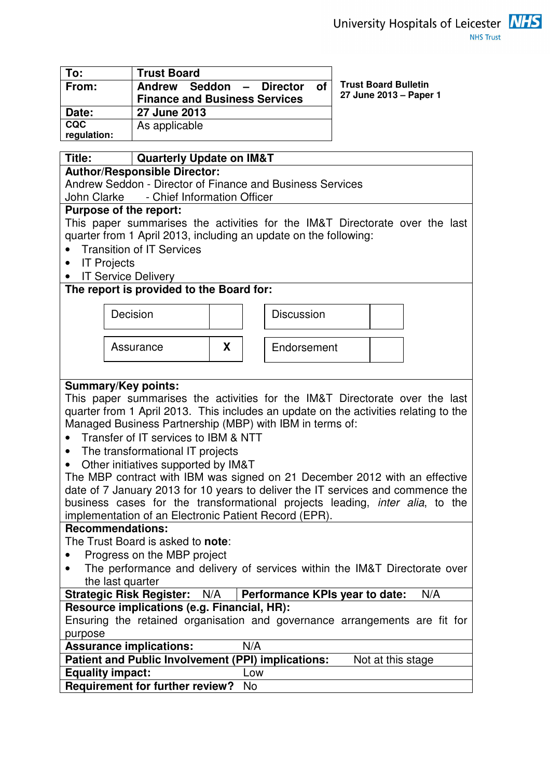| To:                       | <b>Trust Board</b>                   |  |  |
|---------------------------|--------------------------------------|--|--|
| From:                     | Andrew Seddon - Director of          |  |  |
|                           | <b>Finance and Business Services</b> |  |  |
| Date:                     | 27 June 2013                         |  |  |
| <b>CQC</b><br>regulation: | As applicable                        |  |  |

**Trust Board Bulletin 27 June 2013 – Paper 1** 

| Title:<br><b>Quarterly Update on IM&amp;T</b>                                        |                                                           |   |     |                                                                                      |  |
|--------------------------------------------------------------------------------------|-----------------------------------------------------------|---|-----|--------------------------------------------------------------------------------------|--|
|                                                                                      | <b>Author/Responsible Director:</b>                       |   |     |                                                                                      |  |
|                                                                                      | Andrew Seddon - Director of Finance and Business Services |   |     |                                                                                      |  |
|                                                                                      | John Clarke - Chief Information Officer                   |   |     |                                                                                      |  |
|                                                                                      | <b>Purpose of the report:</b>                             |   |     |                                                                                      |  |
|                                                                                      |                                                           |   |     | This paper summarises the activities for the IM&T Directorate over the last          |  |
|                                                                                      |                                                           |   |     | quarter from 1 April 2013, including an update on the following:                     |  |
|                                                                                      | <b>Transition of IT Services</b>                          |   |     |                                                                                      |  |
| $\bullet$                                                                            | <b>IT Projects</b>                                        |   |     |                                                                                      |  |
|                                                                                      | <b>IT Service Delivery</b>                                |   |     |                                                                                      |  |
|                                                                                      | The report is provided to the Board for:                  |   |     |                                                                                      |  |
|                                                                                      |                                                           |   |     |                                                                                      |  |
|                                                                                      | Decision                                                  |   |     | <b>Discussion</b>                                                                    |  |
|                                                                                      |                                                           |   |     |                                                                                      |  |
|                                                                                      |                                                           |   |     |                                                                                      |  |
|                                                                                      | Assurance                                                 | X |     | Endorsement                                                                          |  |
|                                                                                      |                                                           |   |     |                                                                                      |  |
|                                                                                      |                                                           |   |     |                                                                                      |  |
|                                                                                      | <b>Summary/Key points:</b>                                |   |     |                                                                                      |  |
|                                                                                      |                                                           |   |     | This paper summarises the activities for the IM&T Directorate over the last          |  |
|                                                                                      |                                                           |   |     | quarter from 1 April 2013. This includes an update on the activities relating to the |  |
|                                                                                      | Managed Business Partnership (MBP) with IBM in terms of:  |   |     |                                                                                      |  |
|                                                                                      | Transfer of IT services to IBM & NTT                      |   |     |                                                                                      |  |
| $\bullet$                                                                            | The transformational IT projects                          |   |     |                                                                                      |  |
|                                                                                      | Other initiatives supported by IM&T                       |   |     |                                                                                      |  |
|                                                                                      |                                                           |   |     | The MBP contract with IBM was signed on 21 December 2012 with an effective           |  |
|                                                                                      |                                                           |   |     | date of 7 January 2013 for 10 years to deliver the IT services and commence the      |  |
| business cases for the transformational projects leading, <i>inter alia</i> , to the |                                                           |   |     |                                                                                      |  |
| implementation of an Electronic Patient Record (EPR).                                |                                                           |   |     |                                                                                      |  |
|                                                                                      | <b>Recommendations:</b>                                   |   |     |                                                                                      |  |
| The Trust Board is asked to <b>note</b> :                                            |                                                           |   |     |                                                                                      |  |
| Progress on the MBP project<br>$\bullet$                                             |                                                           |   |     |                                                                                      |  |
| The performance and delivery of services within the IM&T Directorate over            |                                                           |   |     |                                                                                      |  |
| the last quarter                                                                     |                                                           |   |     |                                                                                      |  |
| <b>Strategic Risk Register:</b><br>Performance KPIs year to date:<br>N/A<br>N/A      |                                                           |   |     |                                                                                      |  |
| Resource implications (e.g. Financial, HR):                                          |                                                           |   |     |                                                                                      |  |
| Ensuring the retained organisation and governance arrangements are fit for           |                                                           |   |     |                                                                                      |  |
| purpose                                                                              |                                                           |   |     |                                                                                      |  |
|                                                                                      | <b>Assurance implications:</b>                            |   | N/A |                                                                                      |  |
| Patient and Public Involvement (PPI) implications:<br>Not at this stage              |                                                           |   |     |                                                                                      |  |
| <b>Equality impact:</b><br>Low                                                       |                                                           |   |     |                                                                                      |  |
|                                                                                      | <b>Requirement for further review?</b>                    |   | No. |                                                                                      |  |
|                                                                                      |                                                           |   |     |                                                                                      |  |

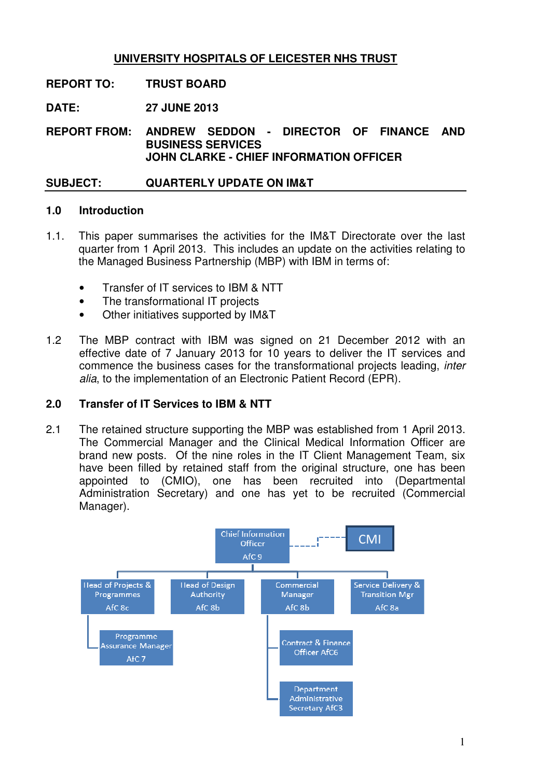# **UNIVERSITY HOSPITALS OF LEICESTER NHS TRUST**

## **REPORT TO: TRUST BOARD**

**DATE: 27 JUNE 2013** 

**REPORT FROM: ANDREW SEDDON - DIRECTOR OF FINANCE AND BUSINESS SERVICES JOHN CLARKE - CHIEF INFORMATION OFFICER** 

## **SUBJECT: QUARTERLY UPDATE ON IM&T**

#### **1.0 Introduction**

- 1.1. This paper summarises the activities for the IM&T Directorate over the last quarter from 1 April 2013. This includes an update on the activities relating to the Managed Business Partnership (MBP) with IBM in terms of:
	- Transfer of IT services to IBM & NTT
	- The transformational IT projects
	- Other initiatives supported by IM&T
- 1.2 The MBP contract with IBM was signed on 21 December 2012 with an effective date of 7 January 2013 for 10 years to deliver the IT services and commence the business cases for the transformational projects leading, inter alia, to the implementation of an Electronic Patient Record (EPR).

### **2.0 Transfer of IT Services to IBM & NTT**

2.1 The retained structure supporting the MBP was established from 1 April 2013. The Commercial Manager and the Clinical Medical Information Officer are brand new posts. Of the nine roles in the IT Client Management Team, six have been filled by retained staff from the original structure, one has been appointed to (CMIO), one has been recruited into (Departmental Administration Secretary) and one has yet to be recruited (Commercial Manager).

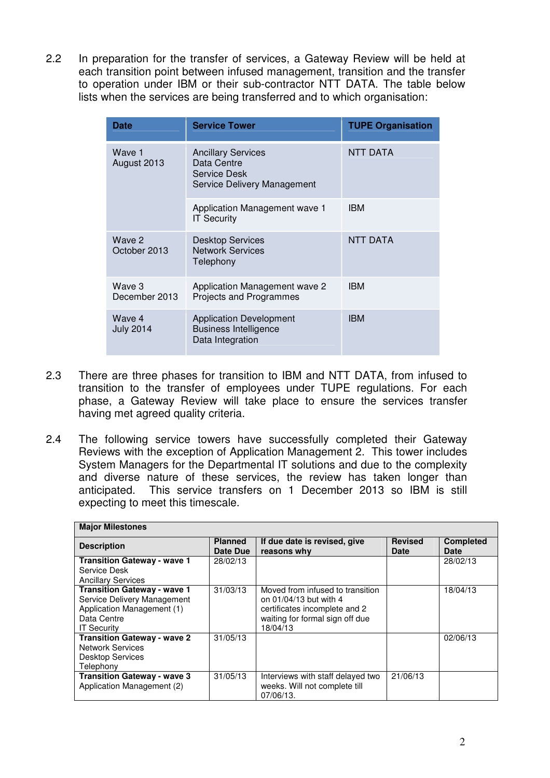2.2 In preparation for the transfer of services, a Gateway Review will be held at each transition point between infused management, transition and the transfer to operation under IBM or their sub-contractor NTT DATA. The table below lists when the services are being transferred and to which organisation:

| <b>Date</b>                | <b>Service Tower</b>                                                                    | <b>TUPE Organisation</b> |
|----------------------------|-----------------------------------------------------------------------------------------|--------------------------|
| Wave 1<br>August 2013      | <b>Ancillary Services</b><br>Data Centre<br>Service Desk<br>Service Delivery Management | <b>NTT DATA</b>          |
|                            | Application Management wave 1<br><b>IT Security</b>                                     | <b>IBM</b>               |
| Wave 2<br>October 2013     | <b>Desktop Services</b><br><b>Network Services</b><br>Telephony                         | <b>NTT DATA</b>          |
| Wave 3<br>December 2013    | Application Management wave 2<br>Projects and Programmes                                | <b>IBM</b>               |
| Wave 4<br><b>July 2014</b> | <b>Application Development</b><br><b>Business Intelligence</b><br>Data Integration      | <b>IBM</b>               |

- 2.3 There are three phases for transition to IBM and NTT DATA, from infused to transition to the transfer of employees under TUPE regulations. For each phase, a Gateway Review will take place to ensure the services transfer having met agreed quality criteria.
- 2.4 The following service towers have successfully completed their Gateway Reviews with the exception of Application Management 2. This tower includes System Managers for the Departmental IT solutions and due to the complexity and diverse nature of these services, the review has taken longer than anticipated. This service transfers on 1 December 2013 so IBM is still expecting to meet this timescale.

| <b>Major Milestones</b>                                         |                            |                                             |                        |                                 |
|-----------------------------------------------------------------|----------------------------|---------------------------------------------|------------------------|---------------------------------|
| <b>Description</b>                                              | <b>Planned</b><br>Date Due | If due date is revised, give<br>reasons why | <b>Revised</b><br>Date | <b>Completed</b><br><b>Date</b> |
| <b>Transition Gateway - wave 1</b>                              | 28/02/13                   |                                             |                        | 28/02/13                        |
| Service Desk                                                    |                            |                                             |                        |                                 |
| <b>Ancillary Services</b><br><b>Transition Gateway - wave 1</b> | 31/03/13                   | Moved from infused to transition            |                        | 18/04/13                        |
| Service Delivery Management                                     |                            | on 01/04/13 but with 4                      |                        |                                 |
| Application Management (1)                                      |                            | certificates incomplete and 2               |                        |                                 |
| Data Centre                                                     |                            | waiting for formal sign off due             |                        |                                 |
| <b>IT Security</b>                                              |                            | 18/04/13                                    |                        |                                 |
| <b>Transition Gateway - wave 2</b>                              | 31/05/13                   |                                             |                        | 02/06/13                        |
| Network Services                                                |                            |                                             |                        |                                 |
| <b>Desktop Services</b>                                         |                            |                                             |                        |                                 |
| Telephony                                                       |                            |                                             |                        |                                 |
| <b>Transition Gateway - wave 3</b>                              | 31/05/13                   | Interviews with staff delayed two           | 21/06/13               |                                 |
| Application Management (2)                                      |                            | weeks. Will not complete till               |                        |                                 |
|                                                                 |                            | 07/06/13.                                   |                        |                                 |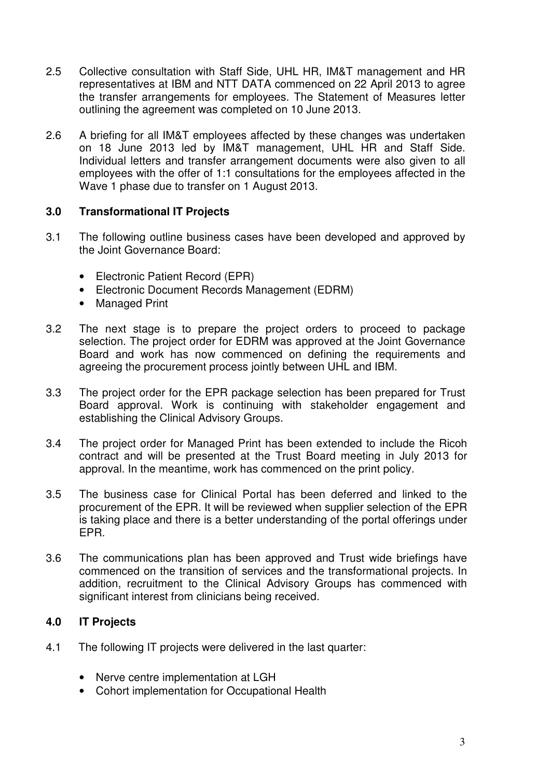- 2.5 Collective consultation with Staff Side, UHL HR, IM&T management and HR representatives at IBM and NTT DATA commenced on 22 April 2013 to agree the transfer arrangements for employees. The Statement of Measures letter outlining the agreement was completed on 10 June 2013.
- 2.6 A briefing for all IM&T employees affected by these changes was undertaken on 18 June 2013 led by IM&T management, UHL HR and Staff Side. Individual letters and transfer arrangement documents were also given to all employees with the offer of 1:1 consultations for the employees affected in the Wave 1 phase due to transfer on 1 August 2013.

#### **3.0 Transformational IT Projects**

- 3.1 The following outline business cases have been developed and approved by the Joint Governance Board:
	- Electronic Patient Record (EPR)
	- Electronic Document Records Management (EDRM)
	- Managed Print
- 3.2 The next stage is to prepare the project orders to proceed to package selection. The project order for EDRM was approved at the Joint Governance Board and work has now commenced on defining the requirements and agreeing the procurement process jointly between UHL and IBM.
- 3.3 The project order for the EPR package selection has been prepared for Trust Board approval. Work is continuing with stakeholder engagement and establishing the Clinical Advisory Groups.
- 3.4 The project order for Managed Print has been extended to include the Ricoh contract and will be presented at the Trust Board meeting in July 2013 for approval. In the meantime, work has commenced on the print policy.
- 3.5 The business case for Clinical Portal has been deferred and linked to the procurement of the EPR. It will be reviewed when supplier selection of the EPR is taking place and there is a better understanding of the portal offerings under EPR.
- 3.6 The communications plan has been approved and Trust wide briefings have commenced on the transition of services and the transformational projects. In addition, recruitment to the Clinical Advisory Groups has commenced with significant interest from clinicians being received.

## **4.0 IT Projects**

- 4.1 The following IT projects were delivered in the last quarter:
	- Nerve centre implementation at LGH
	- Cohort implementation for Occupational Health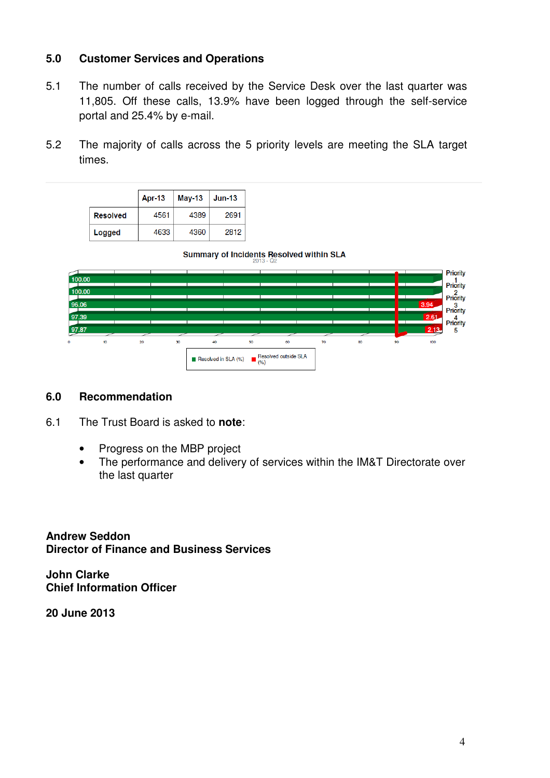### **5.0 Customer Services and Operations**

- 5.1 The number of calls received by the Service Desk over the last quarter was 11,805. Off these calls, 13.9% have been logged through the self-service portal and 25.4% by e-mail.
- 5.2 The majority of calls across the 5 priority levels are meeting the SLA target times.

|                 | Apr-13 | May-13 | <b>Jun-13</b> |
|-----------------|--------|--------|---------------|
| <b>Resolved</b> | 4561   | 4389   | 2691          |
| Logged          | 4633   | 4360   | 2812          |

Summary of Incidents Resolved within SLA



#### **6.0 Recommendation**

- 6.1 The Trust Board is asked to **note**:
	- Progress on the MBP project
	- The performance and delivery of services within the IM&T Directorate over the last quarter

**Andrew Seddon Director of Finance and Business Services** 

**John Clarke Chief Information Officer** 

**20 June 2013**